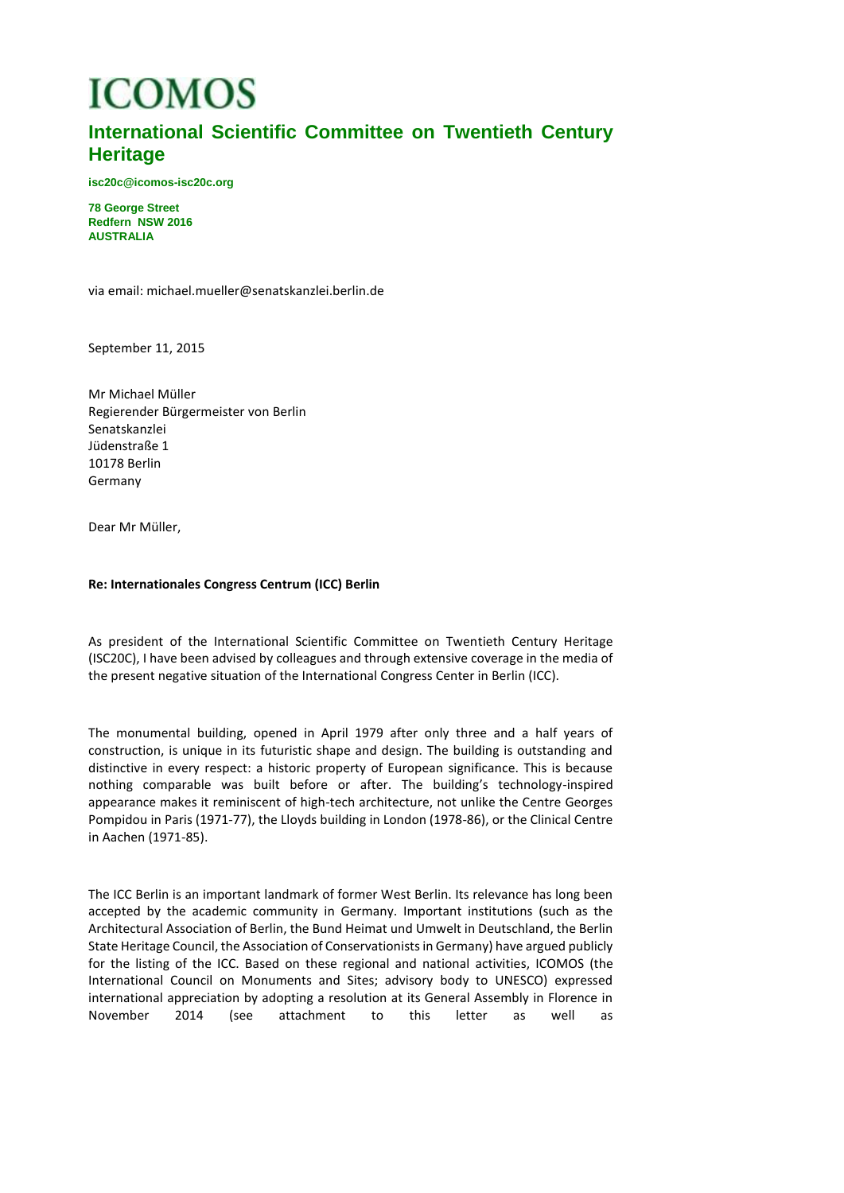# **ICOMOS**

# **International Scientific Committee on Twentieth Century Heritage**

**isc20c@icomos-isc20c.org**

**78 George Street Redfern NSW 2016 AUSTRALIA**

via email: michael.mueller@senatskanzlei.berlin.de

September 11, 2015

Mr Michael Müller Regierender Bürgermeister von Berlin Senatskanzlei Jüdenstraße 1 10178 Berlin Germany

Dear Mr Müller,

#### **Re: Internationales Congress Centrum (ICC) Berlin**

As president of the International Scientific Committee on Twentieth Century Heritage (ISC20C), I have been advised by colleagues and through extensive coverage in the media of the present negative situation of the International Congress Center in Berlin (ICC).

The monumental building, opened in April 1979 after only three and a half years of construction, is unique in its futuristic shape and design. The building is outstanding and distinctive in every respect: a historic property of European significance. This is because nothing comparable was built before or after. The building's technology-inspired appearance makes it reminiscent of high-tech architecture, not unlike the Centre Georges Pompidou in Paris (1971-77), the Lloyds building in London (1978-86), or the Clinical Centre in Aachen (1971-85).

The ICC Berlin is an important landmark of former West Berlin. Its relevance has long been accepted by the academic community in Germany. Important institutions (such as the Architectural Association of Berlin, the Bund Heimat und Umwelt in Deutschland, the Berlin State Heritage Council, the Association of Conservationists in Germany) have argued publicly for the listing of the ICC. Based on these regional and national activities, ICOMOS (the International Council on Monuments and Sites; advisory body to UNESCO) expressed international appreciation by adopting a resolution at its General Assembly in Florence in November 2014 (see attachment to this letter as well as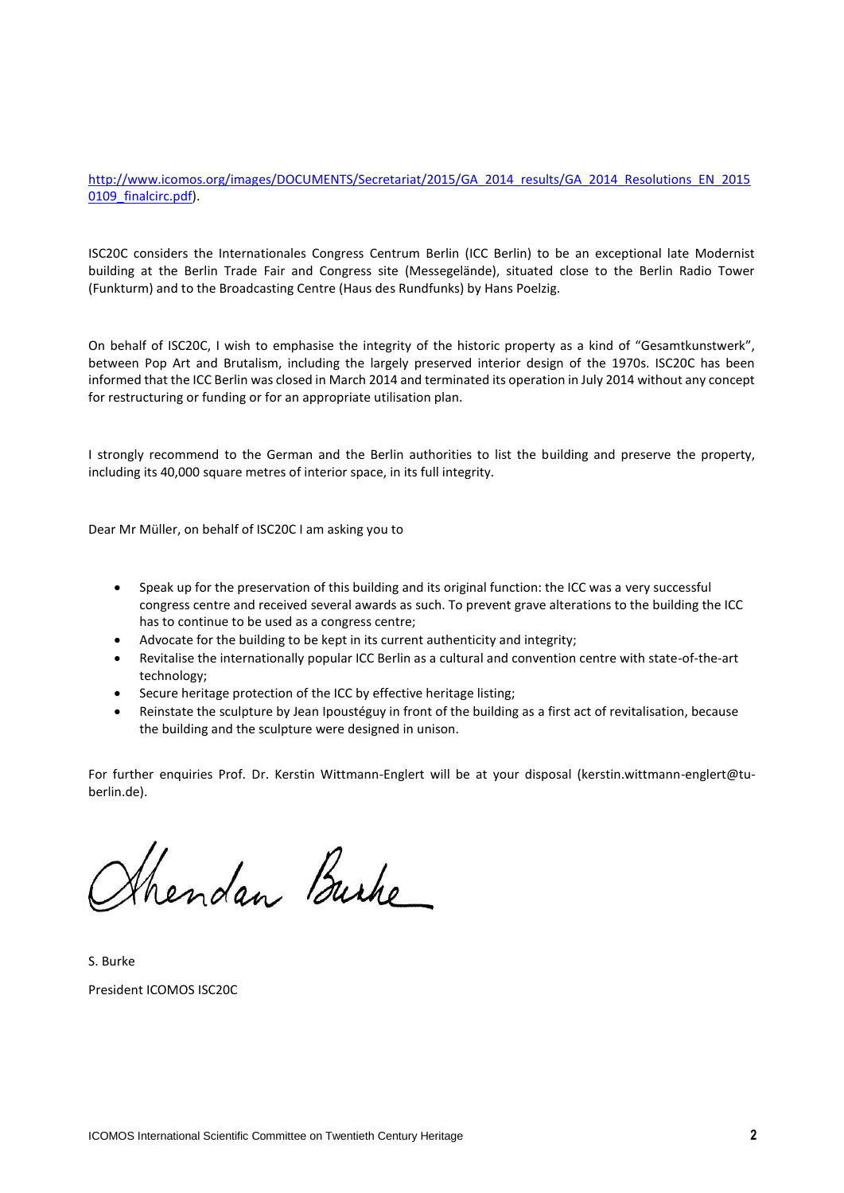[http://www.icomos.org/images/DOCUMENTS/Secretariat/2015/GA\\_2014\\_results/GA\\_2014\\_Resolutions\\_EN\\_2015](http://www.icomos.org/images/DOCUMENTS/Secretariat/2015/GA_2014_results/GA_2014_Resolutions_EN_20150109_finalcirc.pdf) [0109\\_finalcirc.pdf\)](http://www.icomos.org/images/DOCUMENTS/Secretariat/2015/GA_2014_results/GA_2014_Resolutions_EN_20150109_finalcirc.pdf).

ISC20C considers the Internationales Congress Centrum Berlin (ICC Berlin) to be an exceptional late Modernist building at the Berlin Trade Fair and Congress site (Messegelände), situated close to the Berlin Radio Tower (Funkturm) and to the Broadcasting Centre (Haus des Rundfunks) by Hans Poelzig.

On behalf of ISC20C, I wish to emphasise the integrity of the historic property as a kind of "Gesamtkunstwerk", between Pop Art and Brutalism, including the largely preserved interior design of the 1970s. ISC20C has been informed that the ICC Berlin was closed in March 2014 and terminated its operation in July 2014 without any concept for restructuring or funding or for an appropriate utilisation plan.

I strongly recommend to the German and the Berlin authorities to list the building and preserve the property, including its 40,000 square metres of interior space, in its full integrity.

Dear Mr Müller, on behalf of ISC20C I am asking you to

- Speak up for the preservation of this building and its original function: the ICC was a very successful congress centre and received several awards as such. To prevent grave alterations to the building the ICC has to continue to be used as a congress centre;
- Advocate for the building to be kept in its current authenticity and integrity;
- Revitalise the internationally popular ICC Berlin as a cultural and convention centre with state-of-the-art technology;
- Secure heritage protection of the ICC by effective heritage listing;
- Reinstate the sculpture by Jean Ipoustéguy in front of the building as a first act of revitalisation, because the building and the sculpture were designed in unison.

For further enquiries Prof. Dr. Kerstin Wittmann-Englert will be at your disposal (kerstin.wittmann-englert@tuberlin.de).

Shendan Burke

S. Burke President ICOMOS ISC20C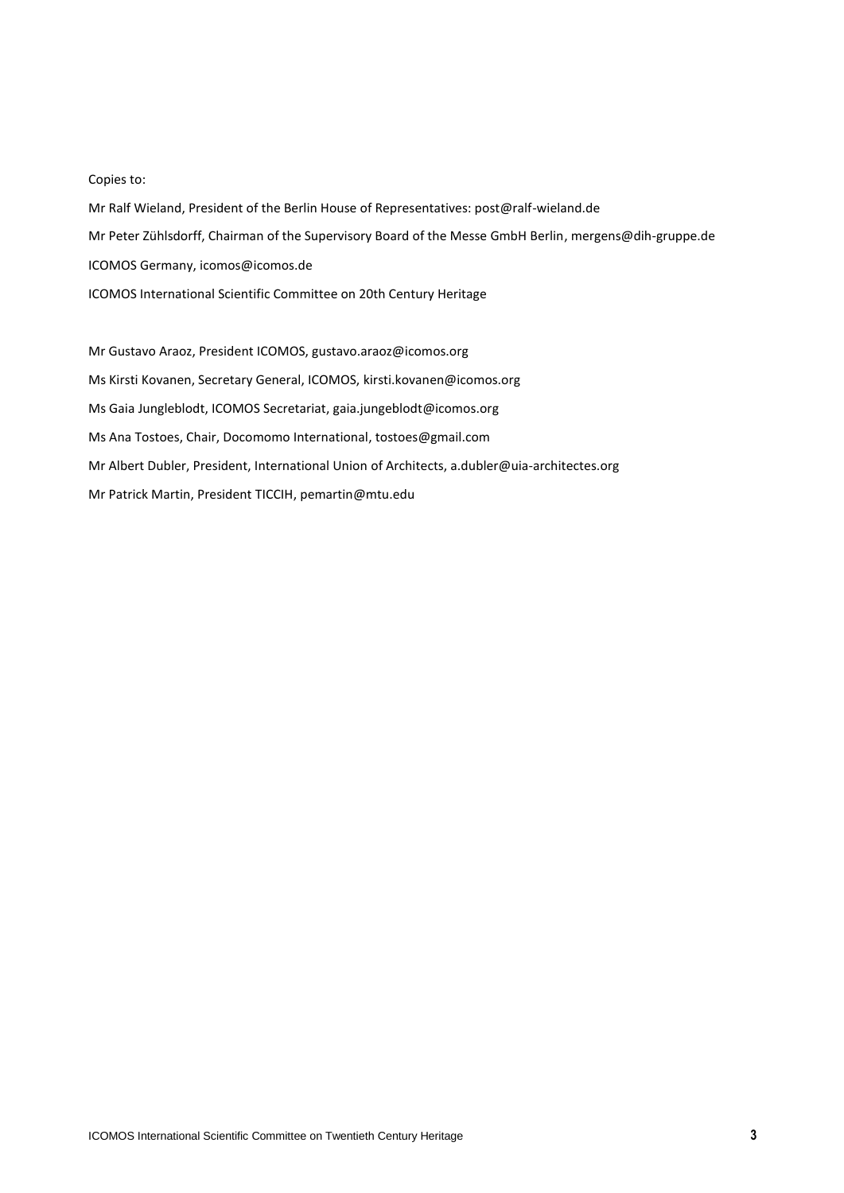## Copies to:

Mr Ralf Wieland, President of the Berlin House of Representatives: post@ralf-wieland.de Mr Peter Zühlsdorff, Chairman of the Supervisory Board of the Messe GmbH Berlin, mergens@dih-gruppe.de ICOMOS Germany, icomos@icomos.de ICOMOS International Scientific Committee on 20th Century Heritage

Mr Gustavo Araoz, President ICOMOS, gustavo.araoz@icomos.org Ms Kirsti Kovanen, Secretary General, ICOMOS, kirsti.kovanen@icomos.org Ms Gaia Jungleblodt, ICOMOS Secretariat, gaia.jungeblodt@icomos.org Ms Ana Tostoes, Chair, Docomomo International, tostoes@gmail.com Mr Albert Dubler, President, International Union of Architects, a.dubler@uia-architectes.org Mr Patrick Martin, President TICCIH, pemartin@mtu.edu